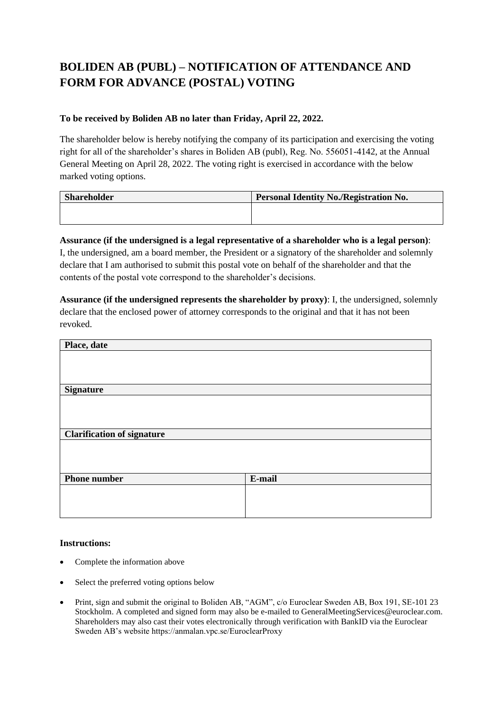## **BOLIDEN AB (PUBL) – NOTIFICATION OF ATTENDANCE AND FORM FOR ADVANCE (POSTAL) VOTING**

### **To be received by Boliden AB no later than Friday, April 22, 2022.**

The shareholder below is hereby notifying the company of its participation and exercising the voting right for all of the shareholder's shares in Boliden AB (publ), Reg. No. 556051-4142, at the Annual General Meeting on April 28, 2022. The voting right is exercised in accordance with the below marked voting options.

| <b>Shareholder</b> | <b>Personal Identity No./Registration No.</b> |
|--------------------|-----------------------------------------------|
|                    |                                               |
|                    |                                               |

## **Assurance (if the undersigned is a legal representative of a shareholder who is a legal person)**:

I, the undersigned, am a board member, the President or a signatory of the shareholder and solemnly declare that I am authorised to submit this postal vote on behalf of the shareholder and that the contents of the postal vote correspond to the shareholder's decisions.

**Assurance (if the undersigned represents the shareholder by proxy)**: I, the undersigned, solemnly declare that the enclosed power of attorney corresponds to the original and that it has not been revoked.

| Place, date                       |        |
|-----------------------------------|--------|
|                                   |        |
|                                   |        |
|                                   |        |
| <b>Signature</b>                  |        |
|                                   |        |
|                                   |        |
|                                   |        |
| <b>Clarification of signature</b> |        |
|                                   |        |
|                                   |        |
|                                   |        |
| <b>Phone number</b>               | E-mail |
|                                   |        |
|                                   |        |
|                                   |        |

#### **Instructions:**

- Complete the information above
- Select the preferred voting options below
- Print, sign and submit the original to Boliden AB, "AGM", c/o Euroclear Sweden AB, Box 191, SE-101 23 Stockholm. A completed and signed form may also be e-mailed to GeneralMeetingServices@euroclear.com. Shareholders may also cast their votes electronically through verification with BankID via the Euroclear Sweden AB's website https://anmalan.vpc.se/EuroclearProxy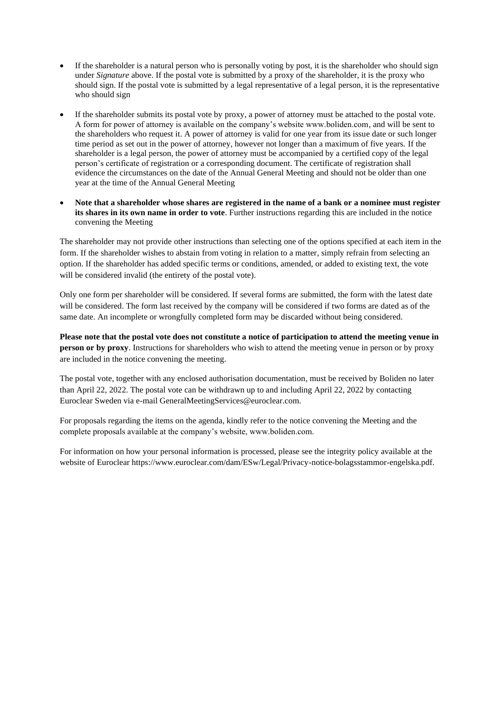- If the shareholder is a natural person who is personally voting by post, it is the shareholder who should sign under *Signature* above. If the postal vote is submitted by a proxy of the shareholder, it is the proxy who should sign. If the postal vote is submitted by a legal representative of a legal person, it is the representative who should sign
- If the shareholder submits its postal vote by proxy, a power of attorney must be attached to the postal vote. A form for power of attorney is available on the company's website www.boliden.com, and will be sent to the shareholders who request it. A power of attorney is valid for one year from its issue date or such longer time period as set out in the power of attorney, however not longer than a maximum of five years. If the shareholder is a legal person, the power of attorney must be accompanied by a certified copy of the legal person's certificate of registration or a corresponding document. The certificate of registration shall evidence the circumstances on the date of the Annual General Meeting and should not be older than one year at the time of the Annual General Meeting
- **Note that a shareholder whose shares are registered in the name of a bank or a nominee must register its shares in its own name in order to vote**. Further instructions regarding this are included in the notice convening the Meeting

The shareholder may not provide other instructions than selecting one of the options specified at each item in the form. If the shareholder wishes to abstain from voting in relation to a matter, simply refrain from selecting an option. If the shareholder has added specific terms or conditions, amended, or added to existing text, the vote will be considered invalid (the entirety of the postal vote).

Only one form per shareholder will be considered. If several forms are submitted, the form with the latest date will be considered. The form last received by the company will be considered if two forms are dated as of the same date. An incomplete or wrongfully completed form may be discarded without being considered.

**Please note that the postal vote does not constitute a notice of participation to attend the meeting venue in person or by proxy**. Instructions for shareholders who wish to attend the meeting venue in person or by proxy are included in the notice convening the meeting.

The postal vote, together with any enclosed authorisation documentation, must be received by Boliden no later than April 22, 2022. The postal vote can be withdrawn up to and including April 22, 2022 by contacting Euroclear Sweden via e-mail GeneralMeetingServices@euroclear.com.

For proposals regarding the items on the agenda, kindly refer to the notice convening the Meeting and the complete proposals available at the company's website, www.boliden.com.

For information on how your personal information is processed, please see the integrity policy available at the website of Euroclear https://www.euroclear.com/dam/ESw/Legal/Privacy-notice-bolagsstammor-engelska.pdf.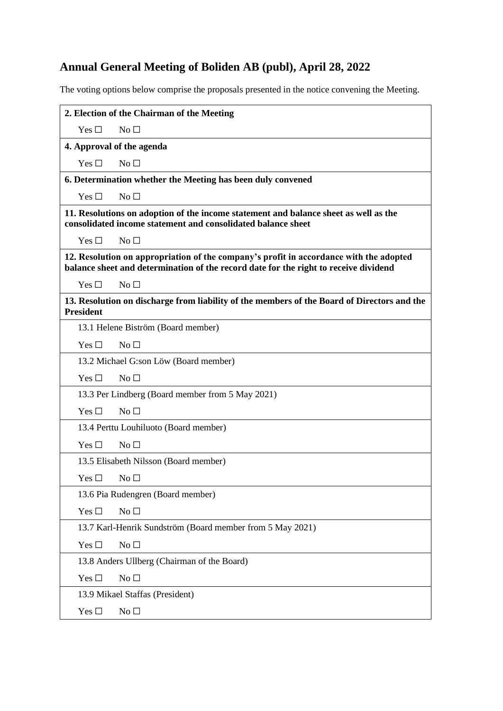# **Annual General Meeting of Boliden AB (publ), April 28, 2022**

The voting options below comprise the proposals presented in the notice convening the Meeting.

|                                                                                                                                                                                | 2. Election of the Chairman of the Meeting                |  |
|--------------------------------------------------------------------------------------------------------------------------------------------------------------------------------|-----------------------------------------------------------|--|
| Yes $\square$                                                                                                                                                                  | No <sub>1</sub>                                           |  |
| 4. Approval of the agenda                                                                                                                                                      |                                                           |  |
| Yes $\Box$                                                                                                                                                                     | No <sub>1</sub>                                           |  |
| 6. Determination whether the Meeting has been duly convened                                                                                                                    |                                                           |  |
| Yes $\Box$                                                                                                                                                                     | No <sub>1</sub>                                           |  |
| 11. Resolutions on adoption of the income statement and balance sheet as well as the<br>consolidated income statement and consolidated balance sheet                           |                                                           |  |
| Yes $\Box$                                                                                                                                                                     | No $\Box$                                                 |  |
| 12. Resolution on appropriation of the company's profit in accordance with the adopted<br>balance sheet and determination of the record date for the right to receive dividend |                                                           |  |
| Yes $\Box$                                                                                                                                                                     | No <sub>1</sub>                                           |  |
| 13. Resolution on discharge from liability of the members of the Board of Directors and the<br><b>President</b>                                                                |                                                           |  |
|                                                                                                                                                                                | 13.1 Helene Biström (Board member)                        |  |
| Yes $\square$                                                                                                                                                                  | No <sub>1</sub>                                           |  |
| 13.2 Michael G:son Löw (Board member)                                                                                                                                          |                                                           |  |
| Yes $\Box$                                                                                                                                                                     | No <sub>1</sub>                                           |  |
|                                                                                                                                                                                | 13.3 Per Lindberg (Board member from 5 May 2021)          |  |
| Yes $\Box$                                                                                                                                                                     | No <sub>1</sub>                                           |  |
| 13.4 Perttu Louhiluoto (Board member)                                                                                                                                          |                                                           |  |
| Yes $\square$                                                                                                                                                                  | No <sub>1</sub>                                           |  |
|                                                                                                                                                                                | 13.5 Elisabeth Nilsson (Board member)                     |  |
| Yes □                                                                                                                                                                          | $\rm No \ \square$                                        |  |
|                                                                                                                                                                                | 13.6 Pia Rudengren (Board member)                         |  |
| Yes $\square$                                                                                                                                                                  | $No \square$                                              |  |
|                                                                                                                                                                                | 13.7 Karl-Henrik Sundström (Board member from 5 May 2021) |  |
| Yes $\Box$                                                                                                                                                                     | No $\square$                                              |  |
| 13.8 Anders Ullberg (Chairman of the Board)                                                                                                                                    |                                                           |  |
| Yes $\square$                                                                                                                                                                  | No $\square$                                              |  |
|                                                                                                                                                                                | 13.9 Mikael Staffas (President)                           |  |
| Yes $\square$                                                                                                                                                                  | No <sub>1</sub>                                           |  |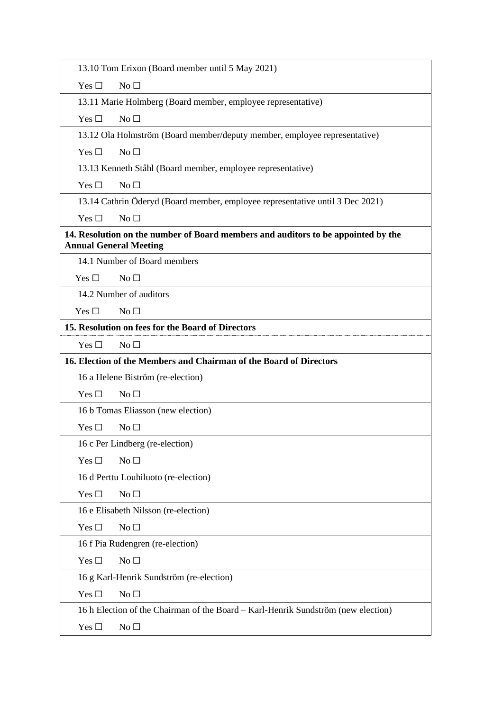| 13.10 Tom Erixon (Board member until 5 May 2021)                                                                   |  |  |
|--------------------------------------------------------------------------------------------------------------------|--|--|
| Yes $\Box$<br>No <sub>1</sub>                                                                                      |  |  |
| 13.11 Marie Holmberg (Board member, employee representative)                                                       |  |  |
| No $\square$<br>Yes $\Box$                                                                                         |  |  |
| 13.12 Ola Holmström (Board member/deputy member, employee representative)                                          |  |  |
| No <sub>1</sub><br>Yes $\Box$                                                                                      |  |  |
| 13.13 Kenneth Ståhl (Board member, employee representative)                                                        |  |  |
| Yes $\Box$<br>No <sub>1</sub>                                                                                      |  |  |
| 13.14 Cathrin Öderyd (Board member, employee representative until 3 Dec 2021)                                      |  |  |
| No $\square$<br>Yes $\square$                                                                                      |  |  |
| 14. Resolution on the number of Board members and auditors to be appointed by the<br><b>Annual General Meeting</b> |  |  |
| 14.1 Number of Board members                                                                                       |  |  |
| Yes $\Box$<br>No <sub>1</sub>                                                                                      |  |  |
| 14.2 Number of auditors                                                                                            |  |  |
| No <sub>1</sub><br>Yes $\Box$                                                                                      |  |  |
| 15. Resolution on fees for the Board of Directors                                                                  |  |  |
| Yes $\square$<br>No <sub>1</sub>                                                                                   |  |  |
| 16. Election of the Members and Chairman of the Board of Directors                                                 |  |  |
| 16 a Helene Biström (re-election)                                                                                  |  |  |
| Yes $\square$<br>No <sub>1</sub>                                                                                   |  |  |
| 16 b Tomas Eliasson (new election)                                                                                 |  |  |
| Yes $\Box$<br>No $\square$                                                                                         |  |  |
| 16 c Per Lindberg (re-election)                                                                                    |  |  |
| Yes $\square$<br>No <sub>1</sub>                                                                                   |  |  |
| 16 d Perttu Louhiluoto (re-election)                                                                               |  |  |
| Yes $\square$<br>No <sub>1</sub>                                                                                   |  |  |
| 16 e Elisabeth Nilsson (re-election)                                                                               |  |  |
| No <sub>1</sub><br>Yes $\Box$                                                                                      |  |  |
| 16 f Pia Rudengren (re-election)                                                                                   |  |  |
| Yes $\Box$<br>No <sub>1</sub>                                                                                      |  |  |
| 16 g Karl-Henrik Sundström (re-election)                                                                           |  |  |
| Yes $\square$<br>No <sub>1</sub>                                                                                   |  |  |
| 16 h Election of the Chairman of the Board – Karl-Henrik Sundström (new election)                                  |  |  |
|                                                                                                                    |  |  |